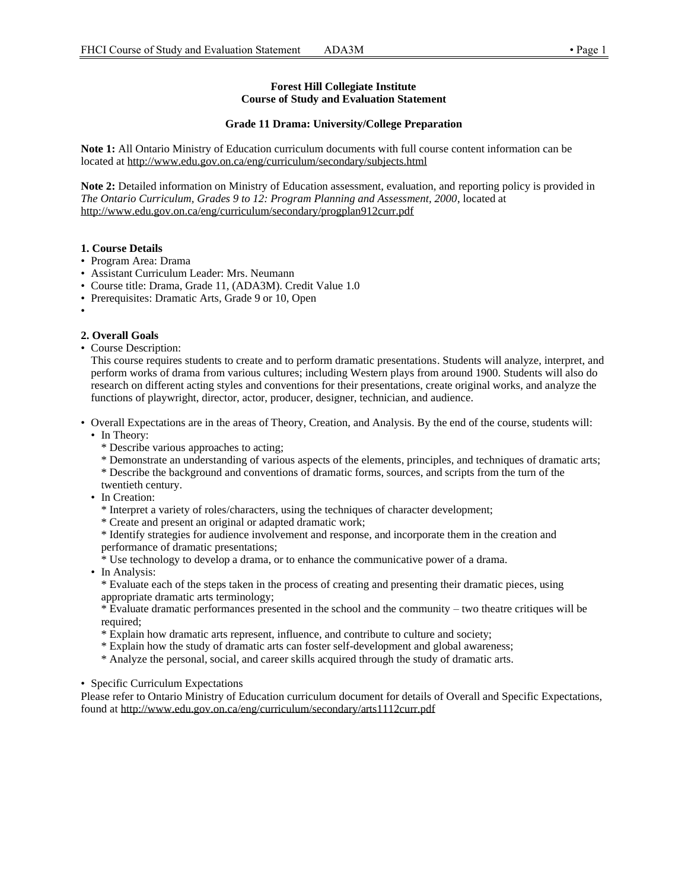### **Forest Hill Collegiate Institute Course of Study and Evaluation Statement**

## **Grade 11 Drama: University/College Preparation**

**Note 1:** All Ontario Ministry of Education curriculum documents with full course content information can be located at http://www.edu.gov.on.ca/eng/curriculum/secondary/subjects.html

**Note 2:** Detailed information on Ministry of Education assessment, evaluation, and reporting policy is provided in *The Ontario Curriculum, Grades 9 to 12: Program Planning and Assessment, 2000*, located at http://www.edu.gov.on.ca/eng/curriculum/secondary/progplan912curr.pdf

## **1. Course Details**

- Program Area: Drama
- Assistant Curriculum Leader: Mrs. Neumann
- Course title: Drama, Grade 11, (ADA3M). Credit Value 1.0
- Prerequisites: Dramatic Arts, Grade 9 or 10, Open
- •

# **2. Overall Goals**

• Course Description:

This course requires students to create and to perform dramatic presentations. Students will analyze, interpret, and perform works of drama from various cultures; including Western plays from around 1900. Students will also do research on different acting styles and conventions for their presentations, create original works, and analyze the functions of playwright, director, actor, producer, designer, technician, and audience.

- Overall Expectations are in the areas of Theory, Creation, and Analysis. By the end of the course, students will:
	- In Theory:
		- \* Describe various approaches to acting;
		- \* Demonstrate an understanding of various aspects of the elements, principles, and techniques of dramatic arts;
		- \* Describe the background and conventions of dramatic forms, sources, and scripts from the turn of the twentieth century.
	- In Creation:
		- \* Interpret a variety of roles/characters, using the techniques of character development;
		- \* Create and present an original or adapted dramatic work;

\* Identify strategies for audience involvement and response, and incorporate them in the creation and performance of dramatic presentations;

- \* Use technology to develop a drama, or to enhance the communicative power of a drama.
- In Analysis:

\* Evaluate each of the steps taken in the process of creating and presenting their dramatic pieces, using appropriate dramatic arts terminology;

\* Evaluate dramatic performances presented in the school and the community – two theatre critiques will be required;

- \* Explain how dramatic arts represent, influence, and contribute to culture and society;
- \* Explain how the study of dramatic arts can foster self-development and global awareness;
- \* Analyze the personal, social, and career skills acquired through the study of dramatic arts.

• Specific Curriculum Expectations

Please refer to Ontario Ministry of Education curriculum document for details of Overall and Specific Expectations, found at http://www.edu.gov.on.ca/eng/curriculum/secondary/arts1112curr.pdf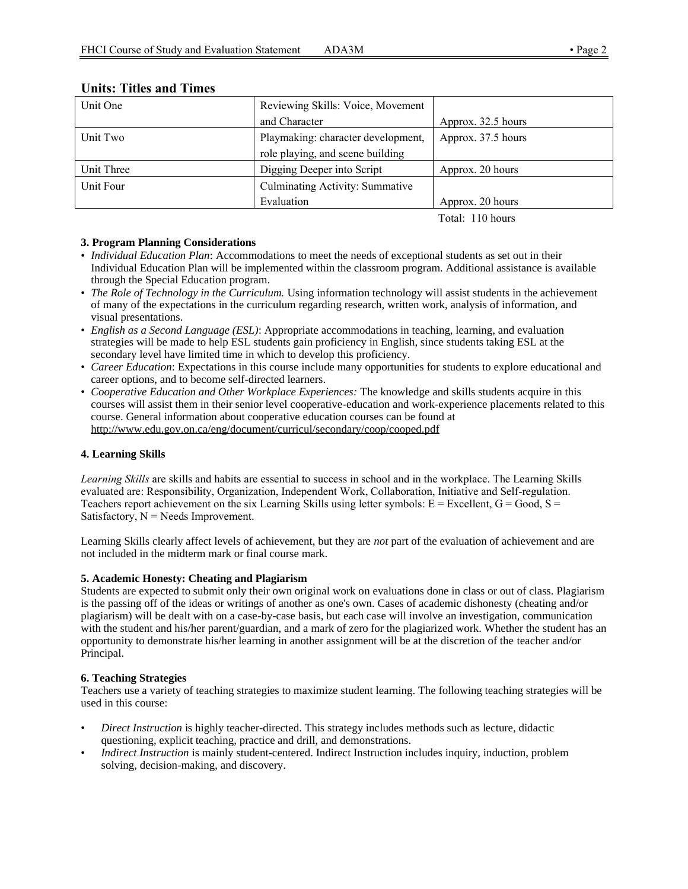| Unit One   | Reviewing Skills: Voice, Movement      |                    |  |
|------------|----------------------------------------|--------------------|--|
|            | and Character                          | Approx. 32.5 hours |  |
| Unit Two   | Playmaking: character development,     | Approx. 37.5 hours |  |
|            | role playing, and scene building       |                    |  |
| Unit Three | Digging Deeper into Script             | Approx. 20 hours   |  |
| Unit Four  | <b>Culminating Activity: Summative</b> |                    |  |
|            | Evaluation                             | Approx. 20 hours   |  |

# **Units: Titles and Times**

Total: 110 hours

# **3. Program Planning Considerations**

- *Individual Education Plan*: Accommodations to meet the needs of exceptional students as set out in their Individual Education Plan will be implemented within the classroom program. Additional assistance is available through the Special Education program.
- *The Role of Technology in the Curriculum.* Using information technology will assist students in the achievement of many of the expectations in the curriculum regarding research, written work, analysis of information, and visual presentations.
- *English as a Second Language (ESL)*: Appropriate accommodations in teaching, learning, and evaluation strategies will be made to help ESL students gain proficiency in English, since students taking ESL at the secondary level have limited time in which to develop this proficiency.
- *Career Education*: Expectations in this course include many opportunities for students to explore educational and career options, and to become self-directed learners.
- *Cooperative Education and Other Workplace Experiences:* The knowledge and skills students acquire in this courses will assist them in their senior level cooperative-education and work-experience placements related to this course. General information about cooperative education courses can be found at http://www.edu.gov.on.ca/eng/document/curricul/secondary/coop/cooped.pdf

# **4. Learning Skills**

*Learning Skills* are skills and habits are essential to success in school and in the workplace. The Learning Skills evaluated are: Responsibility, Organization, Independent Work, Collaboration, Initiative and Self-regulation. Teachers report achievement on the six Learning Skills using letter symbols:  $E = Excellent$ ,  $G = Good$ ,  $S =$ Satisfactory,  $N =$  Needs Improvement.

Learning Skills clearly affect levels of achievement, but they are *not* part of the evaluation of achievement and are not included in the midterm mark or final course mark.

# **5. Academic Honesty: Cheating and Plagiarism**

Students are expected to submit only their own original work on evaluations done in class or out of class. Plagiarism is the passing off of the ideas or writings of another as one's own. Cases of academic dishonesty (cheating and/or plagiarism) will be dealt with on a case-by-case basis, but each case will involve an investigation, communication with the student and his/her parent/guardian, and a mark of zero for the plagiarized work. Whether the student has an opportunity to demonstrate his/her learning in another assignment will be at the discretion of the teacher and/or Principal.

# **6. Teaching Strategies**

Teachers use a variety of teaching strategies to maximize student learning. The following teaching strategies will be used in this course:

- *Direct Instruction* is highly teacher-directed. This strategy includes methods such as lecture, didactic questioning, explicit teaching, practice and drill, and demonstrations.
- *Indirect Instruction* is mainly student-centered. Indirect Instruction includes inquiry, induction, problem solving, decision-making, and discovery.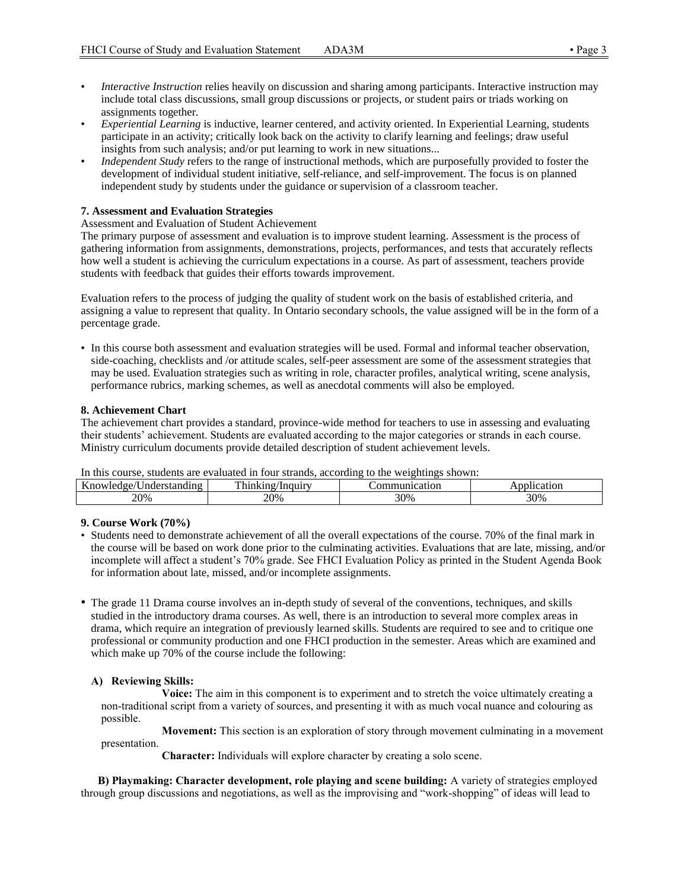- *Interactive Instruction* relies heavily on discussion and sharing among participants. Interactive instruction may include total class discussions, small group discussions or projects, or student pairs or triads working on assignments together.
- *Experiential Learning* is inductive, learner centered, and activity oriented. In Experiential Learning, students participate in an activity; critically look back on the activity to clarify learning and feelings; draw useful insights from such analysis; and/or put learning to work in new situations...
- *Independent Study* refers to the range of instructional methods, which are purposefully provided to foster the development of individual student initiative, self-reliance, and self-improvement. The focus is on planned independent study by students under the guidance or supervision of a classroom teacher.

## **7. Assessment and Evaluation Strategies**

Assessment and Evaluation of Student Achievement

The primary purpose of assessment and evaluation is to improve student learning. Assessment is the process of gathering information from assignments, demonstrations, projects, performances, and tests that accurately reflects how well a student is achieving the curriculum expectations in a course. As part of assessment, teachers provide students with feedback that guides their efforts towards improvement.

Evaluation refers to the process of judging the quality of student work on the basis of established criteria, and assigning a value to represent that quality. In Ontario secondary schools, the value assigned will be in the form of a percentage grade.

• In this course both assessment and evaluation strategies will be used. Formal and informal teacher observation, side-coaching, checklists and /or attitude scales, self-peer assessment are some of the assessment strategies that may be used. Evaluation strategies such as writing in role, character profiles, analytical writing, scene analysis, performance rubrics, marking schemes, as well as anecdotal comments will also be employed.

### **8. Achievement Chart**

The achievement chart provides a standard, province-wide method for teachers to use in assessing and evaluating their students' achievement. Students are evaluated according to the major categories or strands in each course. Ministry curriculum documents provide detailed description of student achievement levels.

In this course, students are evaluated in four strands, according to the weightings shown:

| ---- ------ - - --- - - -<br>-------------<br>-------- |                                |      |     |  |
|--------------------------------------------------------|--------------------------------|------|-----|--|
| $\mathbf{r}$<br>nι                                     | $\mathbf{m}$<br>.<br>r hir<br> | †10n | '0ľ |  |
| 20%                                                    | 20%                            | 30%  | 30% |  |
|                                                        |                                |      |     |  |

### **9. Course Work (70%)**

- Students need to demonstrate achievement of all the overall expectations of the course. 70% of the final mark in the course will be based on work done prior to the culminating activities. Evaluations that are late, missing, and/or incomplete will affect a student's 70% grade. See FHCI Evaluation Policy as printed in the Student Agenda Book for information about late, missed, and/or incomplete assignments.
- The grade 11 Drama course involves an in-depth study of several of the conventions, techniques, and skills studied in the introductory drama courses. As well, there is an introduction to several more complex areas in drama, which require an integration of previously learned skills. Students are required to see and to critique one professional or community production and one FHCI production in the semester. Areas which are examined and which make up 70% of the course include the following:

### **A) Reviewing Skills:**

**Voice:** The aim in this component is to experiment and to stretch the voice ultimately creating a non-traditional script from a variety of sources, and presenting it with as much vocal nuance and colouring as possible.

 **Movement:** This section is an exploration of story through movement culminating in a movement presentation.

 **Character:** Individuals will explore character by creating a solo scene.

 **B) Playmaking: Character development, role playing and scene building:** A variety of strategies employed through group discussions and negotiations, as well as the improvising and "work-shopping" of ideas will lead to